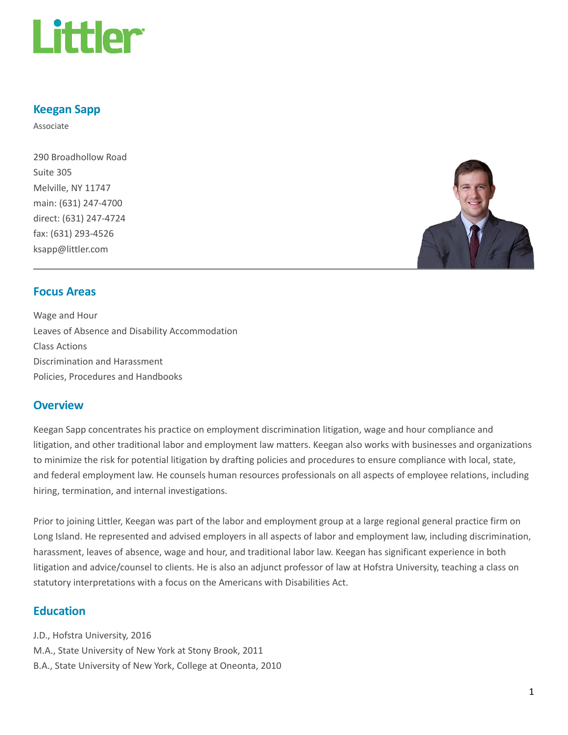

### Keegan Sapp

Associate

290 Broadhollow Road Suite 305 Melville, NY 11747 main: (631) 247-4700 direct: (631) 247-4724 fax: (631) 293-4526 ksapp@littler.com



### Focus Areas

Wage and Hour Leaves of Absence and Disability Accommodation Class Actions Discrimination and Harassment Policies, Procedures and Handbooks

#### **Overview**

Keegan Sapp concentrates his practice on employment discrimination litigation, wage and hour compliance and litigation, and other traditional labor and employment law matters. Keegan also works with businesses and organizations to minimize the risk for potential litigation by drafting policies and procedures to ensure compliance with local, state, and federal employment law. He counsels human resources professionals on all aspects of employee relations, including hiring, termination, and internal investigations.

Prior to joining Littler, Keegan was part of the labor and employment group at a large regional general practice firm on Long Island. He represented and advised employers in all aspects of labor and employment law, including discrimination, harassment, leaves of absence, wage and hour, and traditional labor law. Keegan has significant experience in both litigation and advice/counsel to clients. He is also an adjunct professor of law at Hofstra University, teaching a class on statutory interpretations with a focus on the Americans with Disabilities Act.

## **Education**

J.D., Hofstra University, 2016 M.A., State University of New York at Stony Brook, 2011 B.A., State University of New York, College at Oneonta, 2010